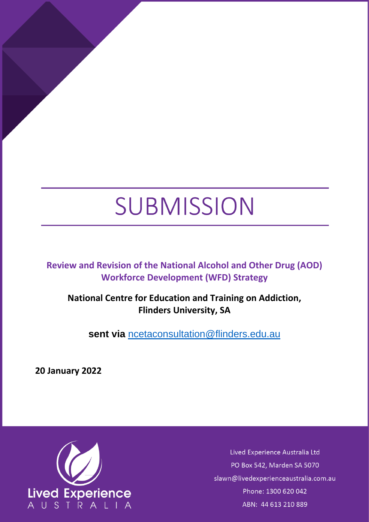# SUBMISSION

**Review and Revision of the National Alcohol and Other Drug (AOD) Workforce Development (WFD) Strategy**

**National Centre for Education and Training on Addiction, Flinders University, SA**

**sent via** [ncetaconsultation@flinders.edu.au](mailto:ncetaconsultation@flinders.edu.au)

**20 January 2022**



Lived Experience Australia Ltd PO Box 542, Marden SA 5070 slawn@livedexperienceaustralia.com.au Phone: 1300 620 042 ABN: 44 613 210 889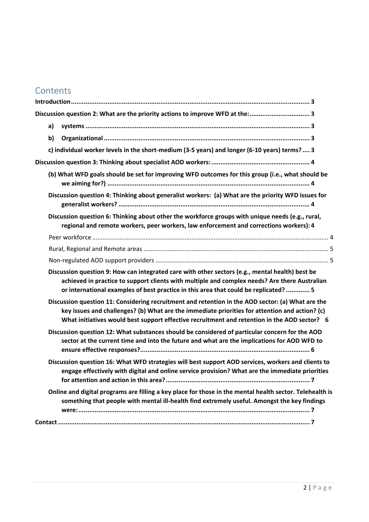## **Contents**

| Discussion question 2: What are the priority actions to improve WFD at the: 3                                                                                                                                                                                                                       |
|-----------------------------------------------------------------------------------------------------------------------------------------------------------------------------------------------------------------------------------------------------------------------------------------------------|
| a)                                                                                                                                                                                                                                                                                                  |
| b)                                                                                                                                                                                                                                                                                                  |
| c) individual worker levels in the short-medium (3-5 years) and longer (6-10 years) terms? 3                                                                                                                                                                                                        |
|                                                                                                                                                                                                                                                                                                     |
| (b) What WFD goals should be set for improving WFD outcomes for this group (i.e., what should be                                                                                                                                                                                                    |
| Discussion question 4: Thinking about generalist workers: (a) What are the priority WFD issues for                                                                                                                                                                                                  |
| Discussion question 6: Thinking about other the workforce groups with unique needs (e.g., rural,<br>regional and remote workers, peer workers, law enforcement and corrections workers): 4                                                                                                          |
|                                                                                                                                                                                                                                                                                                     |
|                                                                                                                                                                                                                                                                                                     |
|                                                                                                                                                                                                                                                                                                     |
| Discussion question 9: How can integrated care with other sectors (e.g., mental health) best be<br>achieved in practice to support clients with multiple and complex needs? Are there Australian<br>or international examples of best practice in this area that could be replicated?  5            |
| Discussion question 11: Considering recruitment and retention in the AOD sector: (a) What are the<br>key issues and challenges? (b) What are the immediate priorities for attention and action? (c)<br>What initiatives would best support effective recruitment and retention in the AOD sector? 6 |
| Discussion question 12: What substances should be considered of particular concern for the AOD<br>sector at the current time and into the future and what are the implications for AOD WFD to                                                                                                       |
| Discussion question 16: What WFD strategies will best support AOD services, workers and clients to<br>engage effectively with digital and online service provision? What are the immediate priorities                                                                                               |
| Online and digital programs are filling a key place for those in the mental health sector. Telehealth is<br>something that people with mental ill-health find extremely useful. Amongst the key findings                                                                                            |
|                                                                                                                                                                                                                                                                                                     |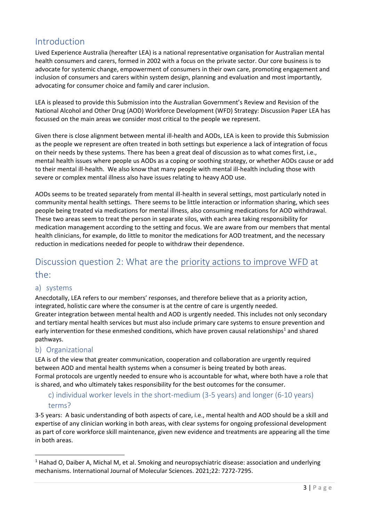## <span id="page-2-0"></span>Introduction

Lived Experience Australia (hereafter LEA) is a national representative organisation for Australian mental health consumers and carers, formed in 2002 with a focus on the private sector. Our core business is to advocate for systemic change, empowerment of consumers in their own care, promoting engagement and inclusion of consumers and carers within system design, planning and evaluation and most importantly, advocating for consumer choice and family and carer inclusion.

LEA is pleased to provide this Submission into the Australian Government's Review and Revision of the National Alcohol and Other Drug (AOD) Workforce Development (WFD) Strategy: Discussion Paper LEA has focussed on the main areas we consider most critical to the people we represent.

Given there is close alignment between mental ill-health and AODs, LEA is keen to provide this Submission as the people we represent are often treated in both settings but experience a lack of integration of focus on their needs by these systems. There has been a great deal of discussion as to what comes first, i.e., mental health issues where people us AODs as a coping or soothing strategy, or whether AODs cause or add to their mental ill-health. We also know that many people with mental ill-health including those with severe or complex mental illness also have issues relating to heavy AOD use.

AODs seems to be treated separately from mental ill-health in several settings, most particularly noted in community mental health settings. There seems to be little interaction or information sharing, which sees people being treated via medications for mental illness, also consuming medications for AOD withdrawal. These two areas seem to treat the person in separate silos, with each area taking responsibility for medication management according to the setting and focus. We are aware from our members that mental health clinicians, for example, do little to monitor the medications for AOD treatment, and the necessary reduction in medications needed for people to withdraw their dependence.

## <span id="page-2-1"></span>Discussion question 2: What are the priority actions to improve WFD at the:

#### <span id="page-2-2"></span>a) systems

Anecdotally, LEA refers to our members' responses, and therefore believe that as a priority action, integrated, holistic care where the consumer is at the centre of care is urgently needed. Greater integration between mental health and AOD is urgently needed. This includes not only secondary and tertiary mental health services but must also include primary care systems to ensure prevention and early intervention for these enmeshed conditions, which have proven causal relationships<sup>1</sup> and shared pathways.

#### <span id="page-2-3"></span>b) Organizational

LEA is of the view that greater communication, cooperation and collaboration are urgently required between AOD and mental health systems when a consumer is being treated by both areas. Formal protocols are urgently needed to ensure who is accountable for what, where both have a role that is shared, and who ultimately takes responsibility for the best outcomes for the consumer.

## <span id="page-2-4"></span>c) individual worker levels in the short-medium (3-5 years) and longer (6-10 years) terms?

3-5 years: A basic understanding of both aspects of care, i.e., mental health and AOD should be a skill and expertise of any clinician working in both areas, with clear systems for ongoing professional development as part of core workforce skill maintenance, given new evidence and treatments are appearing all the time in both areas.

<sup>&</sup>lt;sup>1</sup> Hahad O, Daiber A, Michal M, et al. Smoking and neuropsychiatric disease: association and underlying mechanisms. International Journal of Molecular Sciences. 2021;22: 7272-7295.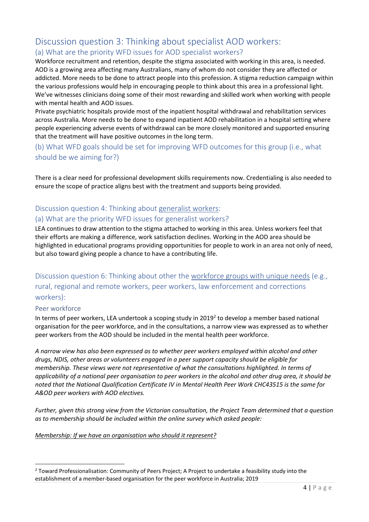## <span id="page-3-0"></span>Discussion question 3: Thinking about specialist AOD workers:

## (a) What are the priority WFD issues for AOD specialist workers?

Workforce recruitment and retention, despite the stigma associated with working in this area, is needed. AOD is a growing area affecting many Australians, many of whom do not consider they are affected or addicted. More needs to be done to attract people into this profession. A stigma reduction campaign within the various professions would help in encouraging people to think about this area in a professional light. We've witnesses clinicians doing some of their most rewarding and skilled work when working with people with mental health and AOD issues.

Private psychiatric hospitals provide most of the inpatient hospital withdrawal and rehabilitation services across Australia. More needs to be done to expand inpatient AOD rehabilitation in a hospital setting where people experiencing adverse events of withdrawal can be more closely monitored and supported ensuring that the treatment will have positive outcomes in the long term.

<span id="page-3-1"></span>(b) What WFD goals should be set for improving WFD outcomes for this group (i.e., what should be we aiming for?)

There is a clear need for professional development skills requirements now. Credentialing is also needed to ensure the scope of practice aligns best with the treatment and supports being provided.

## <span id="page-3-2"></span>Discussion question 4: Thinking about generalist workers:

#### (a) What are the priority WFD issues for generalist workers?

LEA continues to draw attention to the stigma attached to working in this area. Unless workers feel that their efforts are making a difference, work satisfaction declines. Working in the AOD area should be highlighted in educational programs providing opportunities for people to work in an area not only of need, but also toward giving people a chance to have a contributing life.

<span id="page-3-3"></span>Discussion question 6: Thinking about other the workforce groups with unique needs (e.g., rural, regional and remote workers, peer workers, law enforcement and corrections workers):

#### <span id="page-3-4"></span>Peer workforce

In terms of peer workers, LEA undertook a scoping study in 2019<sup>2</sup> to develop a member based national organisation for the peer workforce, and in the consultations, a narrow view was expressed as to whether peer workers from the AOD should be included in the mental health peer workforce.

*A narrow view has also been expressed as to whether peer workers employed within alcohol and other drugs, NDIS, other areas or volunteers engaged in a peer support capacity should be eligible for membership. These views were not representative of what the consultations highlighted. In terms of applicability of a national peer organisation to peer workers in the alcohol and other drug area, it should be noted that the National Qualification Certificate IV in Mental Health Peer Work CHC43515 is the same for A&OD peer workers with AOD electives.* 

*Further, given this strong view from the Victorian consultation, the Project Team determined that a question as to membership should be included within the online survey which asked people:* 

#### *Membership: If we have an organisation who should it represent?*

<sup>&</sup>lt;sup>2</sup> Toward Professionalisation: Community of Peers Project; A Project to undertake a feasibility study into the establishment of a member-based organisation for the peer workforce in Australia; 2019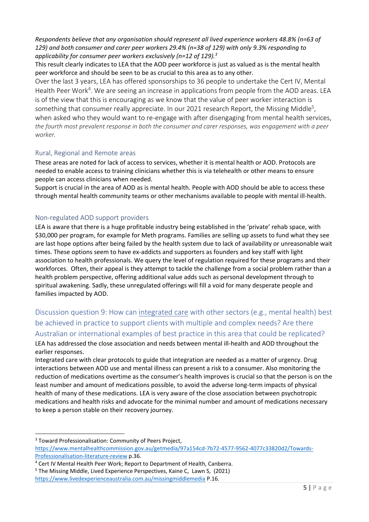*Respondents believe that any organisation should represent all lived experience workers 48.8% (n=63 of 129) and both consumer and carer peer workers 29.4% (n=38 of 129) with only 9.3% responding to applicability for consumer peer workers exclusively (n=12 of 129).<sup>3</sup>*

This result clearly indicates to LEA that the AOD peer workforce is just as valued as is the mental health peer workforce and should be seen to be as crucial to this area as to any other.

Over the last 3 years, LEA has offered sponsorships to 36 people to undertake the Cert IV, Mental Health Peer Work<sup>4</sup>. We are seeing an increase in applications from people from the AOD areas. LEA is of the view that this is encouraging as we know that the value of peer worker interaction is something that consumer really appreciate. In our 2021 research Report, the Missing Middle<sup>5</sup>, when asked who they would want to re-engage with after disengaging from mental health services, *the fourth most prevalent response in both the consumer and carer responses, was engagement with a peer worker.* 

#### <span id="page-4-0"></span>Rural, Regional and Remote areas

These areas are noted for lack of access to services, whether it is mental health or AOD. Protocols are needed to enable access to training clinicians whether this is via telehealth or other means to ensure people can access clinicians when needed.

Support is crucial in the area of AOD as is mental health. People with AOD should be able to access these through mental health community teams or other mechanisms available to people with mental ill-health.

#### <span id="page-4-1"></span>Non-regulated AOD support providers

LEA is aware that there is a huge profitable industry being established in the 'private' rehab space, with \$30,000 per program, for example for Meth programs. Families are selling up assets to fund what they see are last hope options after being failed by the health system due to lack of availability or unreasonable wait times. These options seem to have ex-addicts and supporters as founders and key staff with light association to health professionals. We query the level of regulation required for these programs and their workforces. Often, their appeal is they attempt to tackle the challenge from a social problem rather than a health problem perspective, offering additional value adds such as personal development through to spiritual awakening. Sadly, these unregulated offerings will fill a void for many desperate people and families impacted by AOD.

#### <span id="page-4-2"></span>Discussion question 9: How can integrated care with other sectors (e.g., mental health) best be achieved in practice to support clients with multiple and complex needs? Are there Australian or international examples of best practice in this area that could be replicated?

LEA has addressed the close association and needs between mental ill-health and AOD throughout the earlier responses.

Integrated care with clear protocols to guide that integration are needed as a matter of urgency. Drug interactions between AOD use and mental illness can present a risk to a consumer. Also monitoring the reduction of medications overtime as the consumer's health improves is crucial so that the person is on the least number and amount of medications possible, to avoid the adverse long-term impacts of physical health of many of these medications. LEA is very aware of the close association between psychotropic medications and health risks and advocate for the minimal number and amount of medications necessary to keep a person stable on their recovery journey.

<sup>&</sup>lt;sup>3</sup> Toward Professionalisation: Community of Peers Project, [https://www.mentalhealthcommission.gov.au/getmedia/97a154cd-7b72-4577-9562-4077c33820d2/Towards-](https://www.mentalhealthcommission.gov.au/getmedia/97a154cd-7b72-4577-9562-4077c33820d2/Towards-Professionalisation-literature-review)[Professionalisation-literature-review](https://www.mentalhealthcommission.gov.au/getmedia/97a154cd-7b72-4577-9562-4077c33820d2/Towards-Professionalisation-literature-review) p.36.

<sup>4</sup> Cert IV Mental Health Peer Work; Report to Department of Health, Canberra.

<sup>5</sup> The Missing Middle, Lived Experience Perspectives, Kaine C, Lawn S, (2021) <https://www.livedexperienceaustralia.com.au/missingmiddlemedia> P.16.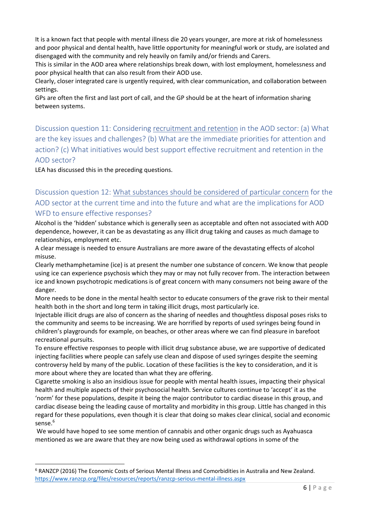It is a known fact that people with mental illness die 20 years younger, are more at risk of homelessness and poor physical and dental health, have little opportunity for meaningful work or study, are isolated and disengaged with the community and rely heavily on family and/or friends and Carers.

This is similar in the AOD area where relationships break down, with lost employment, homelessness and poor physical health that can also result from their AOD use.

Clearly, closer integrated care is urgently required, with clear communication, and collaboration between settings.

GPs are often the first and last port of call, and the GP should be at the heart of information sharing between systems.

<span id="page-5-0"></span>Discussion question 11: Considering recruitment and retention in the AOD sector: (a) What are the key issues and challenges? (b) What are the immediate priorities for attention and action? (c) What initiatives would best support effective recruitment and retention in the AOD sector?

LEA has discussed this in the preceding questions.

<span id="page-5-1"></span>Discussion question 12: What substances should be considered of particular concern for the AOD sector at the current time and into the future and what are the implications for AOD WFD to ensure effective responses?

Alcohol is the 'hidden' substance which is generally seen as acceptable and often not associated with AOD dependence, however, it can be as devastating as any illicit drug taking and causes as much damage to relationships, employment etc.

A clear message is needed to ensure Australians are more aware of the devastating effects of alcohol misuse.

Clearly methamphetamine (ice) is at present the number one substance of concern. We know that people using ice can experience psychosis which they may or may not fully recover from. The interaction between ice and known psychotropic medications is of great concern with many consumers not being aware of the danger.

More needs to be done in the mental health sector to educate consumers of the grave risk to their mental health both in the short and long term in taking illicit drugs, most particularly ice.

Injectable illicit drugs are also of concern as the sharing of needles and thoughtless disposal poses risks to the community and seems to be increasing. We are horrified by reports of used syringes being found in children's playgrounds for example, on beaches, or other areas where we can find pleasure in barefoot recreational pursuits.

To ensure effective responses to people with illicit drug substance abuse, we are supportive of dedicated injecting facilities where people can safely use clean and dispose of used syringes despite the seeming controversy held by many of the public. Location of these facilities is the key to consideration, and it is more about where they are located than what they are offering.

Cigarette smoking is also an insidious issue for people with mental health issues, impacting their physical health and multiple aspects of their psychosocial health. Service cultures continue to 'accept' it as the 'norm' for these populations, despite it being the major contributor to cardiac disease in this group, and cardiac disease being the leading cause of mortality and morbidity in this group. Little has changed in this regard for these populations, even though it is clear that doing so makes clear clinical, social and economic sense.<sup>6</sup>

We would have hoped to see some mention of cannabis and other organic drugs such as Ayahuasca mentioned as we are aware that they are now being used as withdrawal options in some of the

<sup>6</sup> RANZCP (2016) The Economic Costs of Serious Mental Illness and Comorbidities in Australia and New Zealand. <https://www.ranzcp.org/files/resources/reports/ranzcp-serious-mental-illness.aspx>